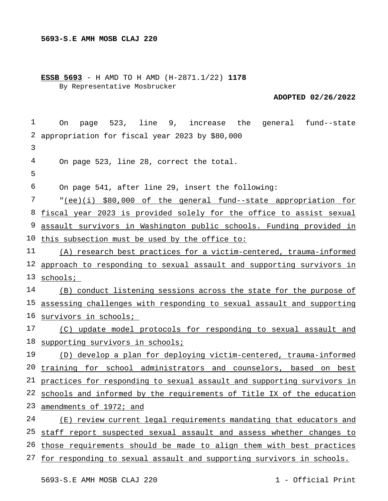**ESSB 5693** - H AMD TO H AMD (H-2871.1/22) **1178** By Representative Mosbrucker

**ADOPTED 02/26/2022**

| 1  | page 523, line 9, increase the general fund--state<br>On                  |
|----|---------------------------------------------------------------------------|
| 2  | appropriation for fiscal year 2023 by \$80,000                            |
| 3  |                                                                           |
| 4  | On page 523, line 28, correct the total.                                  |
| 5  |                                                                           |
| 6  | On page 541, after line 29, insert the following:                         |
| 7  | "(ee)(i) \$80,000 of the general fund--state appropriation for            |
| 8  | fiscal year 2023 is provided solely for the office to assist sexual       |
| 9  | assault survivors in Washington public schools. Funding provided in       |
|    | 10 this subsection must be used by the office to:                         |
| 11 | (A) research best practices for a victim-centered, trauma-informed        |
| 12 | approach to responding to sexual assault and supporting survivors in      |
|    | 13 schools;                                                               |
| 14 | (B) conduct listening sessions across the state for the purpose of        |
|    | 15 assessing challenges with responding to sexual assault and supporting  |
|    | 16 <u>survivors in schools;</u>                                           |
| 17 | (C) update model protocols for responding to sexual assault and           |
| 18 | supporting survivors in schools;                                          |
| 19 | (D) develop a plan for deploying victim-centered, trauma-informed         |
|    | 20 training for school administrators and counselors, based on best       |
|    | 21 practices for responding to sexual assault and supporting survivors in |
|    | 22 schools and informed by the requirements of Title IX of the education  |
| 23 | amendments of 1972; and                                                   |
| 24 | (E) review current legal requirements mandating that educators and        |
| 25 | staff report suspected sexual assault and assess whether changes to       |
| 26 | those requirements should be made to align them with best practices       |
|    | 27 for responding to sexual assault and supporting survivors in schools.  |